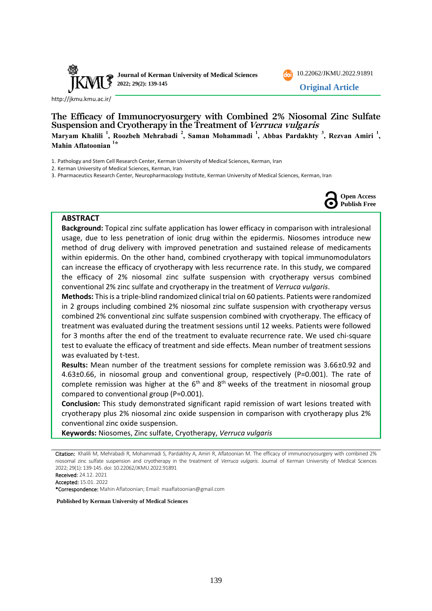

**Journal of Kerman University of Medical Sciences 2022; 29(2): 139-145**



<http://jkmu.kmu.ac.ir/>

**The Efficacy of Immunocryosurgery with Combined 2% Niosomal Zinc Sulfate Suspension and Cryotherapy in the Treatment of Verruca vulgaris Maryam Khalili <sup>1</sup> , Roozbeh Mehrabadi <sup>2</sup> , Saman Mohammadi <sup>1</sup> , Abbas Pardakhty <sup>3</sup> , Rezvan Amiri <sup>1</sup> , Mahin Aflatoonian <sup>1</sup>\***

1. Pathology and Stem Cell Research Center, Kerman University of Medical Sciences, Kerman, Iran

2. Kerman University of Medical Sciences, Kerman, Iran

3. Pharmaceutics Research Center, Neuropharmacology Institute, Kerman University of Medical Sciences, Kerman, Iran



## **ABSTRACT**

**Background:** Topical zinc sulfate application has lower efficacy in comparison with intralesional usage, due to less penetration of ionic drug within the epidermis. Niosomes introduce new method of drug delivery with improved penetration and sustained release of medicaments within epidermis. On the other hand, combined cryotherapy with topical immunomodulators can increase the efficacy of cryotherapy with less recurrence rate. In this study, we compared the efficacy of 2% niosomal zinc sulfate suspension with cryotherapy versus combined conventional 2% zinc sulfate and cryotherapy in the treatment of *Verruca vulgaris*.

**Methods:** This is a triple-blind randomized clinical trial on 60 patients. Patients were randomized in 2 groups including combined 2% niosomal zinc sulfate suspension with cryotherapy versus combined 2% conventional zinc sulfate suspension combined with cryotherapy. The efficacy of treatment was evaluated during the treatment sessions until 12 weeks. Patients were followed for 3 months after the end of the treatment to evaluate recurrence rate. We used chi-square test to evaluate the efficacy of treatment and side effects. Mean number of treatment sessions was evaluated by t-test.

**Results:** Mean number of the treatment sessions for complete remission was 3.66±0.92 and  $4.63\pm0.66$ , in niosomal group and conventional group, respectively (P=0.001). The rate of complete remission was higher at the  $6<sup>th</sup>$  and  $8<sup>th</sup>$  weeks of the treatment in niosomal group compared to conventional group (P=0.001).

**Conclusion:** This study demonstrated significant rapid remission of wart lesions treated with cryotherapy plus 2% niosomal zinc oxide suspension in comparison with cryotherapy plus 2% conventional zinc oxide suspension.

**Keywords:** Niosomes, Zinc sulfate, Cryotherapy, *Verruca vulgaris*

Citation: Khalili M, Mehrabadi R, Mohammadi S, Pardakhty A, Amiri R, Aflatoonian M. The efficacy of immunocryosurgery with combined 2% niosomal zinc sulfate suspension and cryotherapy in the treatment of *Verruca vulgaris*. Journal of Kerman University of Medical Sciences 2022; 29(1): 139-145. doi: [10.22062/JKMU.2022.91891](https://dx.doi.org/10.22062/jkmu.2022.91891)

Accepted: 15.01. 2022

\*Correspondence: Mahin Aflatoonian; Email: maaflatoonian@gmail.com

**Published by Kerman University of Medical Sciences**

Received: 24.12. 2021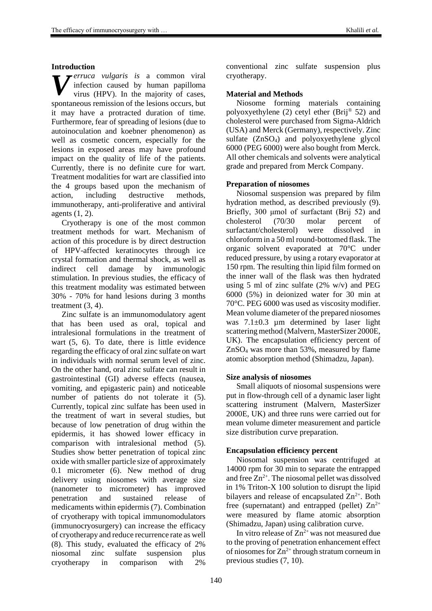#### **Introduction**

*erruca vulgaris is* a common viral infection caused by human papilloma virus (HPV). In the majority of cases, spontaneous remission of the lesions occurs, but it may have a protracted duration of time. Furthermore, fear of spreading of lesions (due to autoinoculation and koebner phenomenon) as well as cosmetic concern, especially for the lesions in exposed areas may have profound impact on the quality of life of the patients. Currently, there is no definite cure for wart. Treatment modalities for wart are classified into the 4 groups based upon the mechanism of action, including destructive methods, immunotherapy, anti-proliferative and antiviral agents (1, 2). *V*

Cryotherapy is one of the most common treatment methods for wart. Mechanism of action of this procedure is by direct destruction of HPV-affected keratinocytes through ice crystal formation and thermal shock, as well as indirect cell damage by immunologic stimulation. In previous studies, the efficacy of this treatment modality was estimated between 30% - 70% for hand lesions during 3 months treatment (3, 4).

Zinc sulfate is an immunomodulatory agent that has been used as oral, topical and intralesional formulations in the treatment of wart (5, 6). To date, there is little evidence regarding the efficacy of oral zinc sulfate on wart in individuals with normal serum level of zinc. On the other hand, oral zinc sulfate can result in gastrointestinal (GI) adverse effects (nausea, vomiting, and epigasteric pain) and noticeable number of patients do not tolerate it (5). Currently, topical zinc sulfate has been used in the treatment of wart in several studies, but because of low penetration of drug within the epidermis, it has showed lower efficacy in comparison with intralesional method (5). Studies show better penetration of topical zinc oxide with smaller particle size of approximately 0.1 micrometer (6). New method of drug delivery using niosomes with average size (nanometer to micrometer) has improved penetration and sustained release of medicaments within epidermis (7). Combination of cryotherapy with topical immunomodulators (immunocryosurgery) can increase the efficacy of cryotherapy and reduce recurrence rate as well (8). This study, evaluated the efficacy of 2% niosomal zinc sulfate suspension plus cryotherapy in comparison with 2%

conventional zinc sulfate suspension plus cryotherapy.

## **Material and Methods**

Niosome forming materials containing polyoxyethylene (2) cetyl ether (Brij® 52) and cholesterol were purchased from Sigma-Aldrich (USA) and Merck (Germany), respectively. Zinc sulfate (ZnSO4) and polyoxyethylene glycol 6000 (PEG 6000) were also bought from Merck. All other chemicals and solvents were analytical grade and prepared from Merck Company.

## **Preparation of niosomes**

Niosomal suspension was prepared by film hydration method, as described previously (9). Briefly, 300 μmol of surfactant (Brij 52) and cholesterol (70/30 molar percent of surfactant/cholesterol) were dissolved in chloroform in a 50 ml round-bottomed flask. The organic solvent evaporated at 70°C under reduced pressure, by using a rotary evaporator at 150 rpm. The resulting thin lipid film formed on the inner wall of the flask was then hydrated using 5 ml of zinc sulfate (2% w/v) and PEG 6000 (5%) in deionized water for 30 min at 70°C. PEG 6000 was used as viscosity modifier. Mean volume diameter of the prepared niosomes was  $7.1\pm0.3$  µm determined by laser light scattering method (Malvern, MasterSizer 2000E, UK). The encapsulation efficiency percent of ZnSO<sup>4</sup> was more than 53%, measured by flame atomic absorption method (Shimadzu, Japan).

# **Size analysis of niosomes**

Small aliquots of niosomal suspensions were put in flow-through cell of a dynamic laser light scattering instrument (Malvern, MasterSizer 2000E, UK) and three runs were carried out for mean volume dimeter measurement and particle size distribution curve preparation.

## **Encapsulation efficiency percent**

Niosomal suspension was centrifuged at 14000 rpm for 30 min to separate the entrapped and free  $Zn^{2+}$ . The niosomal pellet was dissolved in 1% Triton-X 100 solution to disrupt the lipid bilayers and release of encapsulated  $\rm Zn^{2+}$ . Both free (supernatant) and entrapped (pellet)  $Zn^{2+}$ were measured by flame atomic absorption (Shimadzu, Japan) using calibration curve.

In vitro release of  $Zn^{2+}$  was not measured due to the proving of penetration enhancement effect of niosomes for  $\text{Zn}^{2+}$  through stratum corneum in previous studies (7, 10).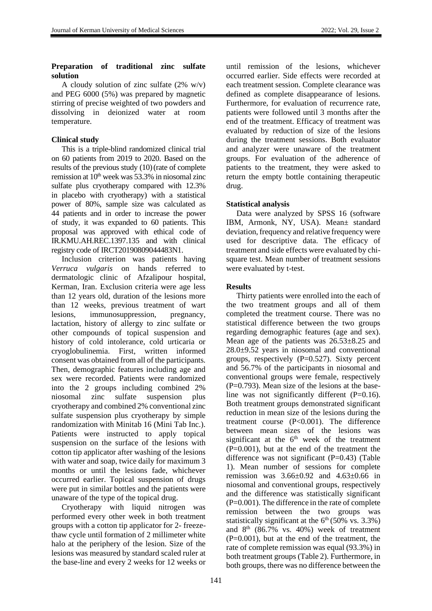## **Preparation of traditional zinc sulfate solution**

A cloudy solution of zinc sulfate  $(2\% \t w/v)$ and PEG 6000 (5%) was prepared by magnetic stirring of precise weighted of two powders and dissolving in deionized water at room temperature.

## **Clinical study**

This is a triple-blind randomized clinical trial on 60 patients from 2019 to 2020. Based on the results of the previous study (10)(rate of complete remission at  $10<sup>th</sup>$  week was 53.3% in niosomal zinc sulfate plus cryotherapy compared with 12.3% in placebo with cryotherapy) with a statistical power of 80%, sample size was calculated as 44 patients and in order to increase the power of study, it was expanded to 60 patients. This proposal was approved with ethical code of IR.KMU.AH.REC.1397.135 and with clinical registry code of IRCT20190809044483N1.

Inclusion criterion was patients having *Verruca vulgaris* on hands referred to dermatologic clinic of Afzalipour hospital, Kerman, Iran. Exclusion criteria were age less than 12 years old, duration of the lesions more than 12 weeks, previous treatment of wart lesions, immunosuppression, pregnancy, lactation, history of allergy to zinc sulfate or other compounds of topical suspension and history of cold intolerance, cold urticaria or cryoglobulinemia. First, written informed consent was obtained from all of the participants. Then, demographic features including age and sex were recorded. Patients were randomized into the 2 groups including combined 2% niosomal zinc sulfate suspension plus cryotherapy and combined 2% conventional zinc sulfate suspension plus cryotherapy by simple randomization with Minitab 16 (Mini Tab Inc.). Patients were instructed to apply topical suspension on the surface of the lesions with cotton tip applicator after washing of the lesions with water and soap, twice daily for maximum 3 months or until the lesions fade, whichever occurred earlier. Topical suspension of drugs were put in similar bottles and the patients were unaware of the type of the topical drug.

Cryotherapy with liquid nitrogen was performed every other week in both treatment groups with a cotton tip applicator for 2- freezethaw cycle until formation of 2 millimeter white halo at the periphery of the lesion. Size of the lesions was measured by standard scaled ruler at the base-line and every 2 weeks for 12 weeks or until remission of the lesions, whichever occurred earlier. Side effects were recorded at each treatment session. Complete clearance was defined as complete disappearance of lesions. Furthermore, for evaluation of recurrence rate, patients were followed until 3 months after the end of the treatment. Efficacy of treatment was evaluated by reduction of size of the lesions during the treatment sessions. Both evaluator and analyzer were unaware of the treatment groups. For evaluation of the adherence of patients to the treatment, they were asked to return the empty bottle containing therapeutic drug.

## **Statistical analysis**

Data were analyzed by SPSS 16 (software IBM, Armonk, NY, USA). Mean± standard deviation, frequency and relative frequency were used for descriptive data. The efficacy of treatment and side effects were evaluated by chisquare test. Mean number of treatment sessions were evaluated by t-test.

## **Results**

Thirty patients were enrolled into the each of the two treatment groups and all of them completed the treatment course. There was no statistical difference between the two groups regarding demographic features (age and sex). Mean age of the patients was 26.53±8.25 and 28.0±9.52 years in niosomal and conventional groups, respectively  $(P=0.527)$ . Sixty percent and 56.7% of the participants in niosomal and conventional groups were female, respectively  $(P=0.793)$ . Mean size of the lesions at the baseline was not significantly different (P=0.16). Both treatment groups demonstrated significant reduction in mean size of the lesions during the treatment course (P<0.001). The difference between mean sizes of the lesions was significant at the  $6<sup>th</sup>$  week of the treatment  $(P=0.001)$ , but at the end of the treatment the difference was not significant (P=0.43) (Table 1). Mean number of sessions for complete remission was 3.66±0.92 and 4.63±0.66 in niosomal and conventional groups, respectively and the difference was statistically significant  $(P=0.001)$ . The difference in the rate of complete remission between the two groups was statistically significant at the  $6<sup>th</sup> (50\% \text{ vs. } 3.3\%)$ and  $8<sup>th</sup>$  (86.7% vs. 40%) week of treatment  $(P=0.001)$ , but at the end of the treatment, the rate of complete remission was equal (93.3%) in both treatment groups (Table 2). Furthermore, in both groups, there was no difference between the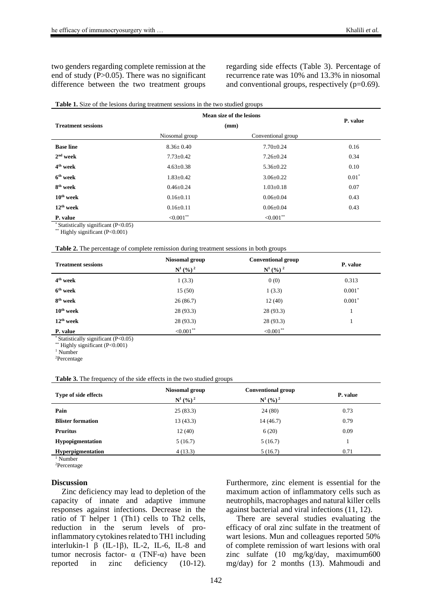two genders regarding complete remission at the end of study (P>0.05). There was no significant difference between the two treatment groups

regarding side effects (Table 3). Percentage of recurrence rate was 10% and 13.3% in niosomal and conventional groups, respectively (p=0.69).

#### **Table 1.** Size of the lesions during treatment sessions in the two studied groups

|                                                                                               | Mean size of the lesions | P. value           |          |
|-----------------------------------------------------------------------------------------------|--------------------------|--------------------|----------|
| <b>Treatment sessions</b>                                                                     | (mm)                     |                    |          |
|                                                                                               | Niosomal group           | Conventional group |          |
| <b>Base line</b>                                                                              | $8.36 \pm 0.40$          | $7.70 \pm 0.24$    | 0.16     |
| $2nd$ week                                                                                    | $7.73 \pm 0.42$          | $7.26 \pm 0.24$    | 0.34     |
| 4 <sup>th</sup> week                                                                          | $4.63 \pm 0.38$          | $5.36 \pm 0.22$    | 0.10     |
| $6th$ week                                                                                    | $1.83 \pm 0.42$          | $3.06 \pm 0.22$    | $0.01^*$ |
| 8 <sup>th</sup> week                                                                          | $0.46 \pm 0.24$          | $1.03 \pm 0.18$    | 0.07     |
| $10th$ week                                                                                   | $0.16 \pm 0.11$          | $0.06 \pm 0.04$    | 0.43     |
| $12th$ week                                                                                   | $0.16 \pm 0.11$          | $0.06 \pm 0.04$    | 0.43     |
| P. value                                                                                      | ${<}0.001$ **            | ${<}0.001$ **      |          |
| $*$ $C_{i-1}$ $L_{i-1}$ $L_{i-1}$ $L_{i-1}$ $L_{i-1}$ $L_{i-1}$ $L_{i-1}$ $D_{i-1}$ $D_{i-1}$ |                          |                    |          |

\* Statistically significant  $(P<0.05)$ 

\*\* Highly significant (P<0.001)

| <b>Table 2.</b> The percentage of complete remission during treatment sessions in both groups |  |  |
|-----------------------------------------------------------------------------------------------|--|--|
|-----------------------------------------------------------------------------------------------|--|--|

| <b>Treatment sessions</b>                                                 | Niosomal group<br>$N^{1}$ (%) <sup>2</sup> | <b>Conventional group</b><br>$N^{1}$ (%) <sup>2</sup> | P. value |  |
|---------------------------------------------------------------------------|--------------------------------------------|-------------------------------------------------------|----------|--|
| 4 <sup>th</sup> week                                                      | 1(3.3)                                     | 0(0)                                                  | 0.313    |  |
| $6th$ week                                                                | 15(50)                                     | 1(3.3)                                                | $0.001*$ |  |
| 8 <sup>th</sup> week                                                      | 26(86.7)                                   | 12(40)                                                | $0.001*$ |  |
| $10th$ week                                                               | 28(93.3)                                   | 28(93.3)                                              |          |  |
| $12th$ week                                                               | 28 (93.3)                                  | 28(93.3)                                              |          |  |
| P. value<br>8.4.1.1.1.1.1.1.1.1.0.1<br>$\sim$ $\sim$ $\sim$ $\sim$ $\sim$ | ${<}0.001$ **                              | ${<}0.001$ **                                         |          |  |

\* Statistically significant (P<0.05)

\*\* Highly significant (P<0.001)

<sup>1</sup> Number

<sup>2</sup>Percentage

| Table 3. The frequency of the side effects in the two studied groups |  |  |  |  |  |
|----------------------------------------------------------------------|--|--|--|--|--|
|                                                                      |  |  |  |  |  |

| Type of side effects     | Niosomal group<br>$N^1$ (%) <sup>2</sup> | <b>Conventional group</b><br>$N^1$ (%) <sup>2</sup> | P. value |  |
|--------------------------|------------------------------------------|-----------------------------------------------------|----------|--|
| Pain                     | 25(83.3)                                 | 24(80)                                              | 0.73     |  |
| <b>Blister formation</b> | 13(43.3)                                 | 14(46.7)                                            | 0.79     |  |
| <b>Pruritus</b>          | 12(40)                                   | 6(20)                                               | 0.09     |  |
| <b>Hypopigmentation</b>  | 5(16.7)                                  | 5(16.7)                                             |          |  |
| <b>Hyperpigmentation</b> | 4(13.3)                                  | 5(16.7)                                             | 0.71     |  |

<sup>1</sup> Number

<sup>2</sup>Percentage

#### **Discussion**

Zinc deficiency may lead to depletion of the capacity of innate and adaptive immune responses against infections. Decrease in the ratio of T helper 1 (Th1) cells to Th2 cells, reduction in the serum levels of proinflammatory cytokines related to TH1 including interlukin-1 β (IL-1β), IL-2, IL-6, IL-8 and tumor necrosis factor-  $\alpha$  (TNF-α) have been reported in zinc deficiency (10-12).

Furthermore, zinc element is essential for the maximum action of inflammatory cells such as neutrophils, macrophages and natural killer cells against bacterial and viral infections (11, 12).

There are several studies evaluating the efficacy of oral zinc sulfate in the treatment of wart lesions. Mun and colleagues reported 50% of complete remission of wart lesions with oral zinc sulfate (10 mg/kg/day, maximum600 mg/day) for 2 months (13). Mahmoudi and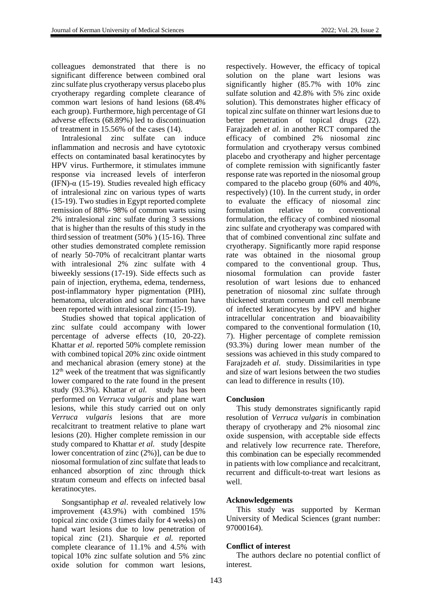colleagues demonstrated that there is no significant difference between combined oral zinc sulfate plus cryotherapy versus placebo plus cryotherapy regarding complete clearance of common wart lesions of hand lesions (68.4% each group). Furthermore, high percentage of GI adverse effects (68.89%) led to discontinuation of treatment in 15.56% of the cases (14).

Intralesional zinc sulfate can induce inflammation and necrosis and have cytotoxic effects on contaminated basal keratinocytes by HPV virus. Furthermore, it stimulates immune response via increased levels of interferon (IFN)- $\alpha$  (15-19). Studies revealed high efficacy of intralesional zinc on various types of warts (15-19). Two studies in Egypt reported complete remission of 88%- 98% of common warts using 2% intralesional zinc sulfate during 3 sessions that is higher than the results of this study in the third session of treatment (50% ) (15-16). Three other studies demonstrated complete remission of nearly 50-70% of recalcitrant plantar warts with intralesional 2% zinc sulfate with 4 biweekly sessions (17-19). Side effects such as pain of injection, erythema, edema, tenderness, post-inflammatory hyper pigmentation (PIH), hematoma, ulceration and scar formation have been reported with intralesional zinc (15-19).

Studies showed that topical application of zinc sulfate could accompany with lower percentage of adverse effects (10, 20-22). Khattar *et al.* reported 50% complete remission with combined topical 20% zinc oxide ointment and mechanical abrasion (emery stone) at the  $12<sup>th</sup>$  week of the treatment that was significantly lower compared to the rate found in the present study (93.3%). Khattar *et al.* study has been performed on *Verruca vulgaris* and plane wart lesions, while this study carried out on only *Verruca vulgaris* lesions that are more recalcitrant to treatment relative to plane wart lesions (20). Higher complete remission in our study compared to Khattar *et al.* study [despite lower concentration of zinc (2%)], can be due to niosomal formulation of zinc sulfate that leads to enhanced absorption of zinc through thick stratum corneum and effects on infected basal keratinocytes.

Songsantiphap *et al*. revealed relatively low improvement (43.9%) with combined 15% topical zinc oxide (3 times daily for 4 weeks) on hand wart lesions due to low penetration of topical zinc (21). Sharquie *et al.* reported complete clearance of 11.1% and 4.5% with topical 10% zinc sulfate solution and 5% zinc oxide solution for common wart lesions,

respectively. However, the efficacy of topical solution on the plane wart lesions was significantly higher (85.7% with 10% zinc sulfate solution and 42.8% with 5% zinc oxide solution). This demonstrates higher efficacy of topical zinc sulfate on thinner wart lesions due to better penetration of topical drugs (22). Farajzadeh *et al*. in another RCT compared the efficacy of combined 2% niosomal zinc formulation and cryotherapy versus combined placebo and cryotherapy and higher percentage of complete remission with significantly faster response rate was reported in the niosomal group compared to the placebo group (60% and 40%, respectively) (10). In the current study, in order to evaluate the efficacy of niosomal zinc formulation relative to conventional formulation, the efficacy of combined niosomal zinc sulfate and cryotherapy was compared with that of combined conventional zinc sulfate and cryotherapy. Significantly more rapid response rate was obtained in the niosomal group compared to the conventional group. Thus, niosomal formulation can provide faster resolution of wart lesions due to enhanced penetration of niosomal zinc sulfate through thickened stratum corneum and cell membrane of infected keratinocytes by HPV and higher intracellular concentration and bioavaibility compared to the conventional formulation (10, 7). Higher percentage of complete remission (93.3%) during lower mean number of the sessions was achieved in this study compared to Farajzadeh *et al.* study. Dissimilarities in type and size of wart lesions between the two studies can lead to difference in results (10).

## **Conclusion**

This study demonstrates significantly rapid resolution of *Verruca vulgaris* in combination therapy of cryotherapy and 2% niosomal zinc oxide suspension, with acceptable side effects and relatively low recurrence rate. Therefore, this combination can be especially recommended in patients with low compliance and recalcitrant, recurrent and difficult-to-treat wart lesions as well.

## **Acknowledgements**

This study was supported by Kerman University of Medical Sciences (grant number: 97000164).

## **Conflict of interest**

The authors declare no potential conflict of interest.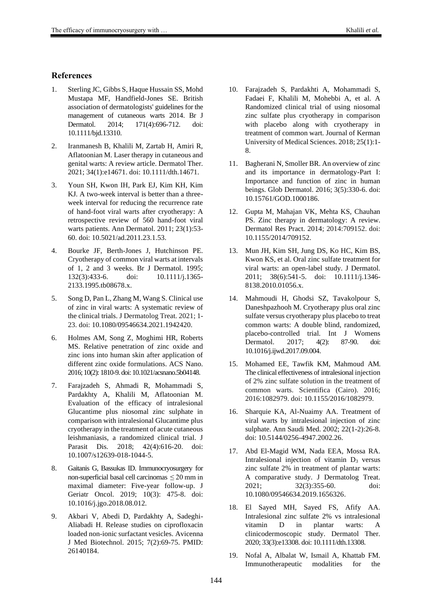- 1. Sterling JC, Gibbs S, Haque Hussain SS, Mohd Mustapa MF, Handfield-Jones SE. British association of dermatologists' guidelines for the management of cutaneous warts 2014. Br J Dermatol. 2014; 171(4):696-712. doi: 10.1111/bjd.13310.
- 2. Iranmanesh B, Khalili M, Zartab H, Amiri R, Aflatoonian M. Laser therapy in cutaneous and genital warts: A review article. Dermatol Ther. 2021; 34(1):e14671. doi: 10.1111/dth.14671.
- 3. Youn SH, Kwon IH, Park EJ, Kim KH, Kim KJ. A two-week interval is better than a threeweek interval for reducing the recurrence rate of hand-foot viral warts after cryotherapy: A retrospective review of 560 hand-foot viral warts patients. Ann Dermatol. 2011; 23(1):53- 60. doi: 10.5021/ad.2011.23.1.53.
- 4. Bourke JF, Berth-Jones J, Hutchinson PE. Cryotherapy of common viral warts at intervals of 1, 2 and 3 weeks. Br J Dermatol. 1995; 132(3):433-6. doi: 10.1111/j.1365- 2133.1995.tb08678.x.
- 5. Song D, Pan L, Zhang M, Wang S. Clinical use of zinc in viral warts: A systematic review of the clinical trials. J Dermatolog Treat. 2021; 1- 23. doi: 10.1080/09546634.2021.1942420.
- 6. Holmes AM, Song Z, Moghimi HR, Roberts MS. Relative penetration of zinc oxide and zinc ions into human skin after application of different zinc oxide formulations. ACS Nano. 2016; 10(2): 1810-9. doi: 10.1021/acsnano.5b04148.
- 7. Farajzadeh S, Ahmadi R, Mohammadi S, Pardakhty A, Khalili M, Aflatoonian M. Evaluation of the efficacy of intralesional Glucantime plus niosomal zinc sulphate in comparison with intralesional Glucantime plus cryotherapy in the treatment of acute cutaneous leishmaniasis, a randomized clinical trial. J Parasit Dis. 2018; 42(4):616-20. doi: 10.1007/s12639-018-1044-5.
- 8. Gaitanis G, Bassukas ID. Immunocryosurgery for non-superficial basal cell carcinomas ≤ 20 mm in maximal diameter: Five-year follow-up. J Geriatr Oncol. 2019; 10(3): 475-8. doi: 10.1016/j.jgo.2018.08.012.
- 9. Akbari V, Abedi D, Pardakhty A, Sadeghi-Aliabadi H. Release studies on ciprofloxacin loaded non-ionic surfactant vesicles. Avicenna J Med Biotechnol. 2015; 7(2):69-75. PMID: 26140184.
- 10. Farajzadeh S, Pardakhti A, Mohammadi S, Fadaei F, Khalili M, Mohebbi A, et al. A Randomized clinical trial of using niosomal zinc sulfate plus cryotherapy in comparison with placebo along with cryotherapy in treatment of common wart. Journal of Kerman University of Medical Sciences. 2018; 25(1):1- 8.
- 11. Bagherani N, Smoller BR. An overview of zinc and its importance in dermatology-Part I: Importance and function of zinc in human beings. Glob Dermatol. 2016; 3(5):330-6. doi: 10.15761/GOD.1000186.
- 12. Gupta M, Mahajan VK, Mehta KS, Chauhan PS. Zinc therapy in dermatology: A review. Dermatol Res Pract. 2014; 2014:709152. doi: 10.1155/2014/709152.
- 13. Mun JH, Kim SH, Jung DS, Ko HC, Kim BS, Kwon KS, et al. Oral zinc sulfate treatment for viral warts: an open-label study. J Dermatol. 2011; 38(6):541-5. doi: 10.1111/j.1346- 8138.2010.01056.x.
- 14. Mahmoudi H, Ghodsi SZ, Tavakolpour S, Daneshpazhooh M. Cryotherapy plus oral zinc sulfate versus cryotherapy plus placebo to treat common warts: A double blind, randomized, placebo-controlled trial. Int J Womens Dermatol. 2017; 4(2): 87-90. doi: 10.1016/j.ijwd.2017.09.004.
- 15. Mohamed EE, Tawfik KM, Mahmoud AM. The clinical effectiveness of intralesional injection of 2% zinc sulfate solution in the treatment of common warts. Scientifica (Cairo). 2016; 2016:1082979. doi: 10.1155/2016/1082979.
- 16. Sharquie KA, Al-Nuaimy AA. Treatment of viral warts by intralesional injection of zinc sulphate. Ann Saudi Med. 2002; 22(1-2):26-8. doi: 10.5144/0256-4947.2002.26.
- 17. Abd El-Magid WM, Nada EEA, Mossa RA. Intralesional injection of vitamin  $D_3$  versus zinc sulfate 2% in treatment of plantar warts: A comparative study. J Dermatolog Treat. 2021; 32(3):355-60. doi: 10.1080/09546634.2019.1656326.
- 18. El Sayed MH, Sayed FS, Afify AA. Intralesional zinc sulfate 2% vs intralesional vitamin D in plantar warts: A clinicodermoscopic study. Dermatol Ther. 2020; 33(3):e13308. doi: 10.1111/dth.13308.
- 19. Nofal A, Albalat W, Ismail A, Khattab FM. Immunotherapeutic modalities for the